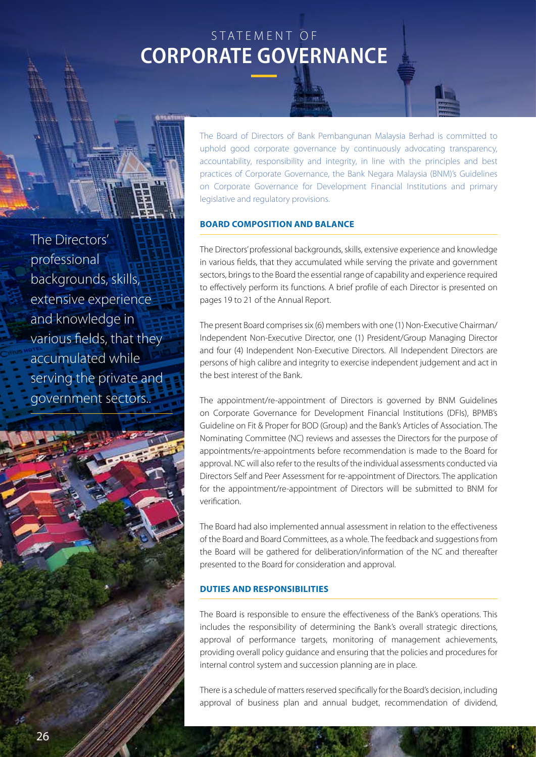# S TATEMENT OF **CORPORATE GOVERNANCE**

The Directors' professional backgrounds, skills, extensive experience and knowledge in various fields, that they accumulated while serving the private and government sectors..

The Board of Directors of Bank Pembangunan Malaysia Berhad is committed to uphold good corporate governance by continuously advocating transparency, accountability, responsibility and integrity, in line with the principles and best practices of Corporate Governance, the Bank Negara Malaysia (BNM)'s Guidelines on Corporate Governance for Development Financial Institutions and primary legislative and regulatory provisions.

## **Board Composition and Balance**

The Directors' professional backgrounds, skills, extensive experience and knowledge in various fields, that they accumulated while serving the private and government sectors, brings to the Board the essential range of capability and experience required to effectively perform its functions. A brief profile of each Director is presented on pages 19 to 21 of the Annual Report.

The present Board comprises six (6) members with one (1) Non-Executive Chairman/ Independent Non-Executive Director, one (1) President/Group Managing Director and four (4) Independent Non-Executive Directors. All Independent Directors are persons of high calibre and integrity to exercise independent judgement and act in the best interest of the Bank.

The appointment/re-appointment of Directors is governed by BNM Guidelines on Corporate Governance for Development Financial Institutions (DFIs), BPMB's Guideline on Fit & Proper for BOD (Group) and the Bank's Articles of Association. The Nominating Committee (NC) reviews and assesses the Directors for the purpose of appointments/re-appointments before recommendation is made to the Board for approval. NC will also refer to the results of the individual assessments conducted via Directors Self and Peer Assessment for re-appointment of Directors. The application for the appointment/re-appointment of Directors will be submitted to BNM for verification.

The Board had also implemented annual assessment in relation to the effectiveness of the Board and Board Committees, as a whole. The feedback and suggestions from the Board will be gathered for deliberation/information of the NC and thereafter presented to the Board for consideration and approval.

## **Duties and Responsibilities**

The Board is responsible to ensure the effectiveness of the Bank's operations. This includes the responsibility of determining the Bank's overall strategic directions, approval of performance targets, monitoring of management achievements, providing overall policy guidance and ensuring that the policies and procedures for internal control system and succession planning are in place.

There is a schedule of matters reserved specifically for the Board's decision, including approval of business plan and annual budget, recommendation of dividend,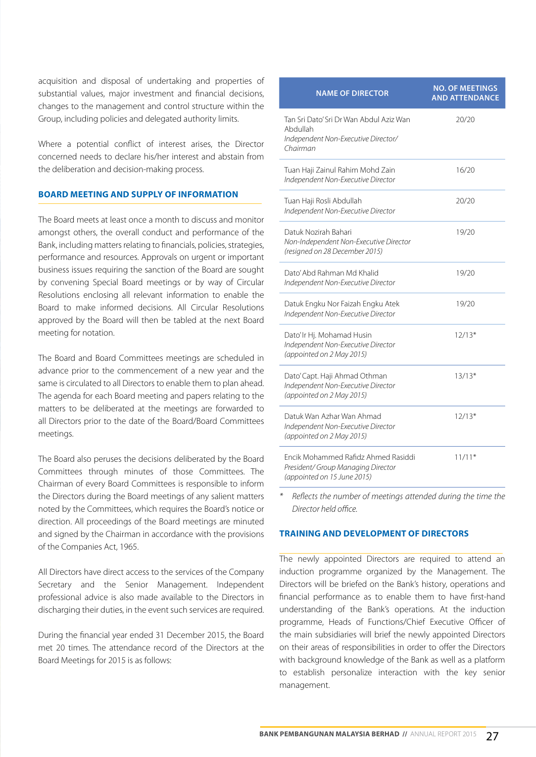acquisition and disposal of undertaking and properties of substantial values, major investment and financial decisions, changes to the management and control structure within the Group, including policies and delegated authority limits.

Where a potential conflict of interest arises, the Director concerned needs to declare his/her interest and abstain from the deliberation and decision-making process.

## **Board Meeting and Supply of Information**

The Board meets at least once a month to discuss and monitor amongst others, the overall conduct and performance of the Bank, including matters relating to financials, policies, strategies, performance and resources. Approvals on urgent or important business issues requiring the sanction of the Board are sought by convening Special Board meetings or by way of Circular Resolutions enclosing all relevant information to enable the Board to make informed decisions. All Circular Resolutions approved by the Board will then be tabled at the next Board meeting for notation.

The Board and Board Committees meetings are scheduled in advance prior to the commencement of a new year and the same is circulated to all Directors to enable them to plan ahead. The agenda for each Board meeting and papers relating to the matters to be deliberated at the meetings are forwarded to all Directors prior to the date of the Board/Board Committees meetings.

The Board also peruses the decisions deliberated by the Board Committees through minutes of those Committees. The Chairman of every Board Committees is responsible to inform the Directors during the Board meetings of any salient matters noted by the Committees, which requires the Board's notice or direction. All proceedings of the Board meetings are minuted and signed by the Chairman in accordance with the provisions of the Companies Act, 1965.

All Directors have direct access to the services of the Company Secretary and the Senior Management. Independent professional advice is also made available to the Directors in discharging their duties, in the event such services are required.

During the financial year ended 31 December 2015, the Board met 20 times. The attendance record of the Directors at the Board Meetings for 2015 is as follows:

| <b>NAME OF DIRECTOR</b>                                                                                  | <b>NO. OF MEETINGS</b><br><b>AND ATTENDANCE</b> |
|----------------------------------------------------------------------------------------------------------|-------------------------------------------------|
| Tan Sri Dato' Sri Dr Wan Abdul Aziz Wan<br>Abdullah<br>Independent Non-Executive Director/               | 20/20                                           |
| Chairman                                                                                                 |                                                 |
| Tuan Haji Zainul Rahim Mohd Zain<br>Independent Non-Executive Director                                   | 16/20                                           |
| Tuan Haji Rosli Abdullah<br>Independent Non-Executive Director                                           | 20/20                                           |
| Datuk Nozirah Bahari<br>Non-Independent Non-Executive Director<br>(resigned on 28 December 2015)         | 19/20                                           |
| Dato' Abd Rahman Md Khalid<br>Independent Non-Executive Director                                         | 19/20                                           |
| Datuk Engku Nor Faizah Engku Atek<br>Independent Non-Executive Director                                  | 19/20                                           |
| Dato' Ir Hj. Mohamad Husin<br>Independent Non-Executive Director<br>(appointed on 2 May 2015)            | $12/13*$                                        |
| Dato' Capt. Haji Ahmad Othman<br>Independent Non-Executive Director<br>(appointed on 2 May 2015)         | $13/13*$                                        |
| Datuk Wan Azhar Wan Ahmad<br>Independent Non-Executive Director<br>(appointed on 2 May 2015)             | $12/13*$                                        |
| Encik Mohammed Rafidz Ahmed Rasiddi<br>President/ Group Managing Director<br>(appointed on 15 June 2015) | $11/11*$                                        |

*\* Reflects the number of meetings attended during the time the Director held office.*

#### **Training And Development Of Directors**

The newly appointed Directors are required to attend an induction programme organized by the Management. The Directors will be briefed on the Bank's history, operations and financial performance as to enable them to have first-hand understanding of the Bank's operations. At the induction programme, Heads of Functions/Chief Executive Officer of the main subsidiaries will brief the newly appointed Directors on their areas of responsibilities in order to offer the Directors with background knowledge of the Bank as well as a platform to establish personalize interaction with the key senior management.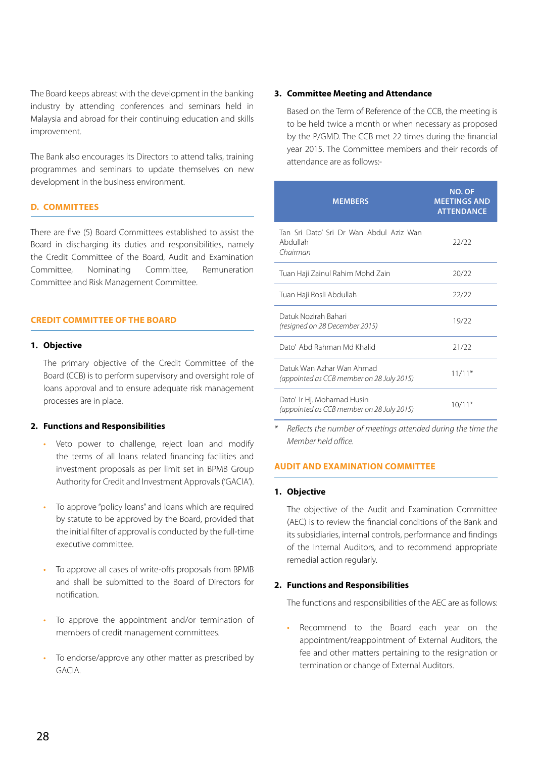The Board keeps abreast with the development in the banking industry by attending conferences and seminars held in Malaysia and abroad for their continuing education and skills improvement.

The Bank also encourages its Directors to attend talks, training programmes and seminars to update themselves on new development in the business environment.

## **D. COMMITTEES**

There are five (5) Board Committees established to assist the Board in discharging its duties and responsibilities, namely the Credit Committee of the Board, Audit and Examination Committee, Nominating Committee, Remuneration Committee and Risk Management Committee.

## **CREDIT COMMITTEE OF THE BOARD**

#### **1. Objective**

The primary objective of the Credit Committee of the Board (CCB) is to perform supervisory and oversight role of loans approval and to ensure adequate risk management processes are in place.

## **2. Functions and Responsibilities**

- Veto power to challenge, reject loan and modify the terms of all loans related financing facilities and investment proposals as per limit set in BPMB Group Authority for Credit and Investment Approvals ('GACIA').
- To approve "policy loans" and loans which are required by statute to be approved by the Board, provided that the initial filter of approval is conducted by the full-time executive committee.
- To approve all cases of write-offs proposals from BPMB and shall be submitted to the Board of Directors for notification.
- To approve the appointment and/or termination of members of credit management committees.
- To endorse/approve any other matter as prescribed by GACIA.

## **3. Committee Meeting and Attendance**

Based on the Term of Reference of the CCB, the meeting is to be held twice a month or when necessary as proposed by the P/GMD. The CCB met 22 times during the financial year 2015. The Committee members and their records of attendance are as follows:-

| <b>MEMBERS</b>                                                          | <b>NO. OF</b><br><b>MEETINGS AND</b><br><b>ATTENDANCE</b> |
|-------------------------------------------------------------------------|-----------------------------------------------------------|
| Tan Sri Dato' Sri Dr Wan Abdul Aziz Wan<br>Abdullah<br>Chairman         | 22/22                                                     |
| Tuan Haji Zainul Rahim Mohd Zain                                        | 20/22                                                     |
| Tuan Haji Rosli Abdullah                                                | 22/22                                                     |
| Datuk Nozirah Bahari<br>(resigned on 28 December 2015)                  | 19/22                                                     |
| Dato' Abd Rahman Md Khalid                                              | 21/22                                                     |
| Datuk Wan Azhar Wan Ahmad<br>(appointed as CCB member on 28 July 2015)  | $11/11*$                                                  |
| Dato' Ir Hj. Mohamad Husin<br>(appointed as CCB member on 28 July 2015) | $10/11*$                                                  |

*\* Reflects the number of meetings attended during the time the Member held office.*

## **AUDIT AND EXAMINATION COMMITTEE**

#### **1. Objective**

The objective of the Audit and Examination Committee (AEC) is to review the financial conditions of the Bank and its subsidiaries, internal controls, performance and findings of the Internal Auditors, and to recommend appropriate remedial action regularly.

#### **2. Functions and Responsibilities**

The functions and responsibilities of the AEC are as follows:

• Recommend to the Board each year on the appointment/reappointment of External Auditors, the fee and other matters pertaining to the resignation or termination or change of External Auditors.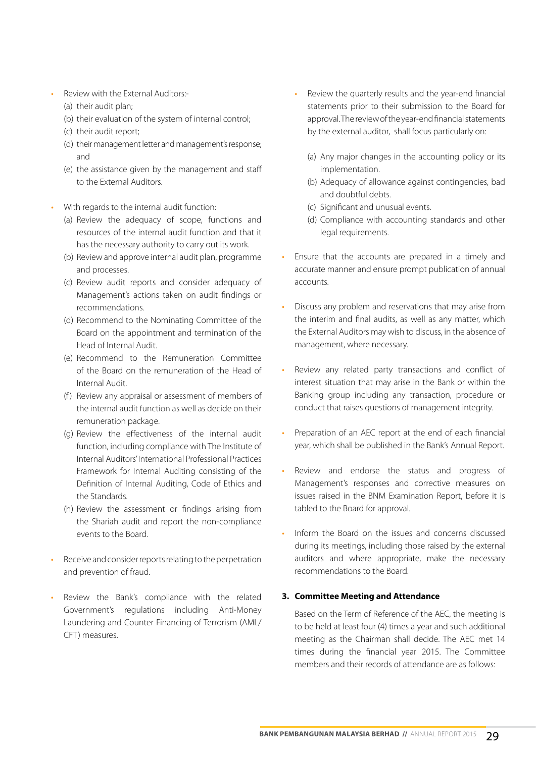- Review with the External Auditors:-
	- (a) their audit plan;
	- (b) their evaluation of the system of internal control;
	- (c) their audit report;
	- (d) their management letter and management's response; and
	- (e) the assistance given by the management and staff to the External Auditors.
- With regards to the internal audit function:
	- (a) Review the adequacy of scope, functions and resources of the internal audit function and that it has the necessary authority to carry out its work.
	- (b) Review and approve internal audit plan, programme and processes.
	- (c) Review audit reports and consider adequacy of Management's actions taken on audit findings or recommendations.
	- (d) Recommend to the Nominating Committee of the Board on the appointment and termination of the Head of Internal Audit.
	- (e) Recommend to the Remuneration Committee of the Board on the remuneration of the Head of Internal Audit.
	- (f) Review any appraisal or assessment of members of the internal audit function as well as decide on their remuneration package.
	- (g) Review the effectiveness of the internal audit function, including compliance with The Institute of Internal Auditors' International Professional Practices Framework for Internal Auditing consisting of the Definition of Internal Auditing, Code of Ethics and the Standards.
	- (h) Review the assessment or findings arising from the Shariah audit and report the non-compliance events to the Board.
- Receive and consider reports relating to the perpetration and prevention of fraud.
- Review the Bank's compliance with the related Government's regulations including Anti-Money Laundering and Counter Financing of Terrorism (AML/ CFT) measures.
- Review the quarterly results and the year-end financial statements prior to their submission to the Board for approval. The review of the year-end financial statements by the external auditor, shall focus particularly on:
	- (a) Any major changes in the accounting policy or its implementation.
	- (b) Adequacy of allowance against contingencies, bad and doubtful debts.
	- (c) Significant and unusual events.
	- (d) Compliance with accounting standards and other legal requirements.
- Ensure that the accounts are prepared in a timely and accurate manner and ensure prompt publication of annual accounts.
- Discuss any problem and reservations that may arise from the interim and final audits, as well as any matter, which the External Auditors may wish to discuss, in the absence of management, where necessary.
- Review any related party transactions and conflict of interest situation that may arise in the Bank or within the Banking group including any transaction, procedure or conduct that raises questions of management integrity.
- Preparation of an AEC report at the end of each financial year, which shall be published in the Bank's Annual Report.
- Review and endorse the status and progress of Management's responses and corrective measures on issues raised in the BNM Examination Report, before it is tabled to the Board for approval.
- Inform the Board on the issues and concerns discussed during its meetings, including those raised by the external auditors and where appropriate, make the necessary recommendations to the Board.

## **3. Committee Meeting and Attendance**

Based on the Term of Reference of the AEC, the meeting is to be held at least four (4) times a year and such additional meeting as the Chairman shall decide. The AEC met 14 times during the financial year 2015. The Committee members and their records of attendance are as follows: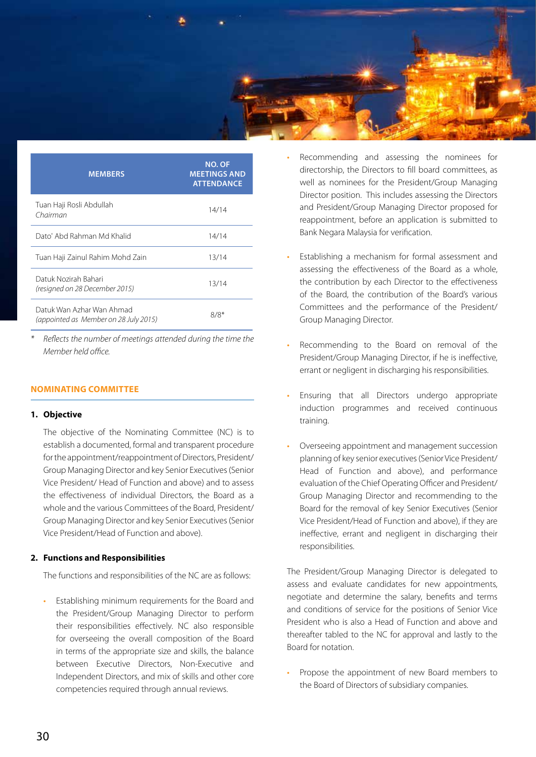

| <b>MEMBERS</b>                                                     | <b>NO. OF</b><br><b>MEETINGS AND</b><br><b>ATTENDANCE</b> |
|--------------------------------------------------------------------|-----------------------------------------------------------|
| Tuan Haji Rosli Abdullah<br>Chairman                               | 14/14                                                     |
| Dato' Abd Rahman Md Khalid                                         | 14/14                                                     |
| Tuan Haji Zainul Rahim Mohd Zain                                   | 13/14                                                     |
| Datuk Nozirah Bahari<br>(resigned on 28 December 2015)             | 13/14                                                     |
| Datuk Wan Azhar Wan Ahmad<br>(appointed as Member on 28 July 2015) | 8/8*                                                      |

*\* Reflects the number of meetings attended during the time the Member held office.*

## **NOMINATING COMMITTEE**

#### **1. Objective**

The objective of the Nominating Committee (NC) is to establish a documented, formal and transparent procedure for the appointment/reappointment of Directors, President/ Group Managing Director and key Senior Executives (Senior Vice President/ Head of Function and above) and to assess the effectiveness of individual Directors, the Board as a whole and the various Committees of the Board, President/ Group Managing Director and key Senior Executives (Senior Vice President/Head of Function and above).

#### **2. Functions and Responsibilities**

The functions and responsibilities of the NC are as follows:

• Establishing minimum requirements for the Board and the President/Group Managing Director to perform their responsibilities effectively. NC also responsible for overseeing the overall composition of the Board in terms of the appropriate size and skills, the balance between Executive Directors, Non-Executive and Independent Directors, and mix of skills and other core competencies required through annual reviews.

- Recommending and assessing the nominees for directorship, the Directors to fill board committees, as well as nominees for the President/Group Managing Director position. This includes assessing the Directors and President/Group Managing Director proposed for reappointment, before an application is submitted to Bank Negara Malaysia for verification.
- Establishing a mechanism for formal assessment and assessing the effectiveness of the Board as a whole, the contribution by each Director to the effectiveness of the Board, the contribution of the Board's various Committees and the performance of the President/ Group Managing Director.
- Recommending to the Board on removal of the President/Group Managing Director, if he is ineffective, errant or negligent in discharging his responsibilities.
- Ensuring that all Directors undergo appropriate induction programmes and received continuous training.
- Overseeing appointment and management succession planning of key senior executives (Senior Vice President/ Head of Function and above), and performance evaluation of the Chief Operating Officer and President/ Group Managing Director and recommending to the Board for the removal of key Senior Executives (Senior Vice President/Head of Function and above), if they are ineffective, errant and negligent in discharging their responsibilities.

The President/Group Managing Director is delegated to assess and evaluate candidates for new appointments, negotiate and determine the salary, benefits and terms and conditions of service for the positions of Senior Vice President who is also a Head of Function and above and thereafter tabled to the NC for approval and lastly to the Board for notation.

• Propose the appointment of new Board members to the Board of Directors of subsidiary companies.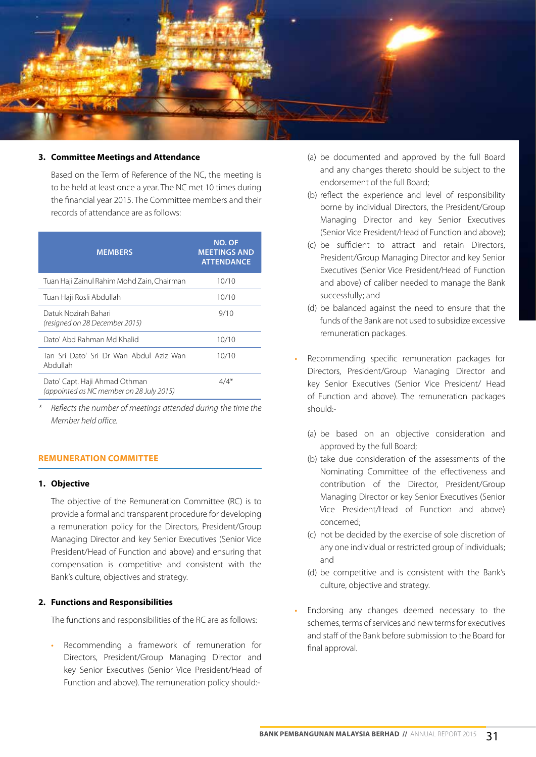

## **3. Committee Meetings and Attendance**

Based on the Term of Reference of the NC, the meeting is to be held at least once a year. The NC met 10 times during the financial year 2015. The Committee members and their records of attendance are as follows:

| <b>MEMBERS</b>                                                            | <b>NO. OF</b><br><b>MEETINGS AND</b><br><b>ATTENDANCE</b> |
|---------------------------------------------------------------------------|-----------------------------------------------------------|
| Tuan Haji Zainul Rahim Mohd Zain, Chairman                                | 10/10                                                     |
| Tuan Haji Rosli Abdullah                                                  | 10/10                                                     |
| Datuk Nozirah Bahari<br>(resigned on 28 December 2015)                    | 9/10                                                      |
| Dato' Abd Rahman Md Khalid                                                | 10/10                                                     |
| Tan Sri Dato' Sri Dr Wan Abdul Aziz Wan<br>Abdullah                       | 10/10                                                     |
| Dato' Capt. Haji Ahmad Othman<br>(appointed as NC member on 28 July 2015) | $4/4*$                                                    |

*\* Reflects the number of meetings attended during the time the Member held office.*

## **REMUNERATION COMMITTEE**

#### **1. Objective**

The objective of the Remuneration Committee (RC) is to provide a formal and transparent procedure for developing a remuneration policy for the Directors, President/Group Managing Director and key Senior Executives (Senior Vice President/Head of Function and above) and ensuring that compensation is competitive and consistent with the Bank's culture, objectives and strategy.

#### **2. Functions and Responsibilities**

The functions and responsibilities of the RC are as follows:

• Recommending a framework of remuneration for Directors, President/Group Managing Director and key Senior Executives (Senior Vice President/Head of Function and above). The remuneration policy should:-

- (a) be documented and approved by the full Board and any changes thereto should be subject to the endorsement of the full Board;
- (b) reflect the experience and level of responsibility borne by individual Directors, the President/Group Managing Director and key Senior Executives (Senior Vice President/Head of Function and above);
- (c) be sufficient to attract and retain Directors, President/Group Managing Director and key Senior Executives (Senior Vice President/Head of Function and above) of caliber needed to manage the Bank successfully; and
- (d) be balanced against the need to ensure that the funds of the Bank are not used to subsidize excessive remuneration packages.
- Recommending specific remuneration packages for Directors, President/Group Managing Director and key Senior Executives (Senior Vice President/ Head of Function and above). The remuneration packages should:-
	- (a) be based on an objective consideration and approved by the full Board;
	- (b) take due consideration of the assessments of the Nominating Committee of the effectiveness and contribution of the Director, President/Group Managing Director or key Senior Executives (Senior Vice President/Head of Function and above) concerned;
	- (c) not be decided by the exercise of sole discretion of any one individual or restricted group of individuals; and
	- (d) be competitive and is consistent with the Bank's culture, objective and strategy.
- Endorsing any changes deemed necessary to the schemes, terms of services and new terms for executives and staff of the Bank before submission to the Board for final approval.